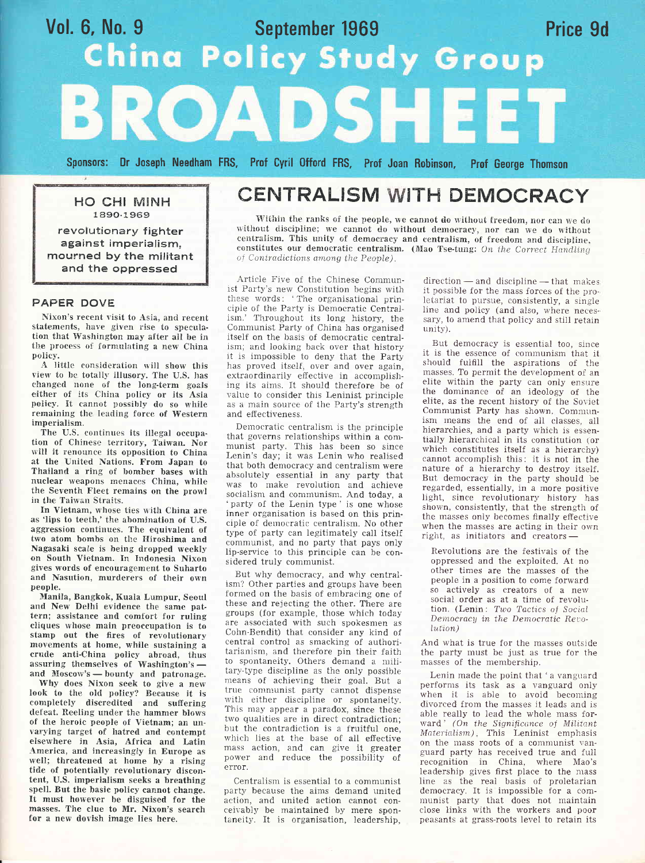# Vol. 6, No. 9 September 1969<br>China Policy Study Group Price 9d BROADSHE

Sponsors: Dr Joseph Needham FRS, Prof Cyril Offord FRS, Prof Joan Robinson, **Prof George Thomson** 

**HO CHI MINH** 1890-1969

revolutionary fighter against imperialism. mourned by the militant and the oppressed

# PAPER DOVE

Nixon's recent visit to Asia, and recent statements, have given rise to speculation that Washington may after all be in the process of formulating a new China policy.

A little consideration will show this view to be totally illusory. The U.S. has changed none of the long-term goals either of its China policy or its Asia policy. It cannot possibly do so while remaining the leading force of Western imperialism.

The U.S. continues its illegal occupation of Chinese territory, Taiwan. Nor will it renounce its opposition to China at the United Nations. From Japan to Thailand a ring of bomber bases with nuclear weapons menaces China, while the Seventh Fleet remains on the prowl in the Taiwan Straits.

In Vietnam, whose ties with China are as 'lips to teeth,' the abomination of U.S. aggression continues. The equivalent of two atom bombs on the Hiroshima and Nagasaki scale is being dropped weekly on South Vietnam. In Indonesia Nixon gives words of encouragement to Suharto and Nasution, murderers of their own people.

Manila, Bangkok, Kuala Lumpur, Seoul and New Delhi evidence the same pattern; assistance and comfort for ruling cliques whose main preoccupation is to stamp out the fires of revolutionary movements at home, while sustaining a crude anti-China policy abroad, thus assuring themselves of Washington's and Moscow's - bounty and patronage.

Why does Nixon seek to give a new look to the old policy? Because it is completely discredited and suffering defeat. Reeling under the hammer blows of the heroic people of Vietnam; an unvarying target of hatred and contempt elsewhere in Asia, Africa and Latin America, and increasingly in Europe as well; threatened at home by a rising tide of potentially revolutionary discontent, U.S. imperialism seeks a breathing spell. But the basic policy cannot change. It must however be disguised for the masses. The clue to Mr. Nixon's search for a new dovish image lies here.

# **CENTRALISM WITH DEMOCRACY**

Within the ranks of the people, we cannot do without freedom, nor can we do without discipline; we cannot do without democracy, nor can we do without centralism. This unity of democracy and centralism, of freedom and discipline. constitutes our democratic centralism. (Mao Tse-tung: On the Correct Handling of Contradictions among the People).

Article Five of the Chinese Communist Party's new Constitution begins with<br>these words: 'The organisational principle of the Party is Democratic Centralism.' Throughout its long history, the Communist Party of China has organised itself on the basis of democratic centralism; and looking back over that history it is impossible to deny that the Party has proved itself, over and over again. extraordinarily effective in accomplishing its aims. It should therefore be of value to consider this Leninist principle as a main source of the Party's strength and effectiveness.

Democratic centralism is the principle that governs relationships within a communist party. This has been so since Lenin's day; it was Lenin who realised that both democracy and centralism were absolutely essential in any party that was to make revolution and achieve socialism and communism. And today, a party of the Lenin type' is one whose inner organisation is based on this principle of democratic centralism. No other type of party can legitimately call itself communist, and no party that pays only lip-service to this principle can be considered truly communist.

But why democracy, and why centralism? Other parties and groups have been formed on the basis of embracing one of these and rejecting the other. There are groups (for example, those which today are associated with such spokesmen as Cohn-Bendit) that consider any kind of central control as smacking of authoritarianism, and therefore pin their faith to spontaneity. Others demand a military-type discipline as the only possible means of achieving their goal. But a true communist party cannot dispense with either discipline or spontaneity. This may appear a paradox, since these two qualities are in direct contradiction; but the contradiction is a fruitful one. which lies at the base of all effective mass action, and can give it greater power and reduce the possibility of error.

Centralism is essential to a communist party because the aims demand united action, and united action cannot conceivably be maintained by mere spontaneity. It is organisation, leadership,

direction - and discipline - that makes it possible for the mass forces of the proletariat to pursue, consistently, a single line and policy (and also, where necessary, to amend that policy and still retain unity).

But democracy is essential too, since it is the essence of communism that it should fulfill the aspirations of the masses. To permit the development of an elite within the party can only ensure the dominance of an ideology of the elite, as the recent history of the Soviet Communist Party has shown. Communism means the end of all classes, all hierarchies, and a party which is essentially hierarchical in its constitution (or which constitutes itself as a hierarchy) cannot accomplish this: it is not in the nature of a hierarchy to destroy itself. But democracy in the party should be regarded, essentially, in a more positive light, since revolutionary history has shown, consistently, that the strength of the masses only becomes finally effective when the masses are acting in their own right, as initiators and creators-

Revolutions are the festivals of the oppressed and the exploited. At no other times are the masses of the people in a position to come forward so actively as creators of a new social order as at a time of revolution. (Lenin: Two Tactics of Social Democracy in the Democratic Revolution)

And what is true for the masses outside the party must be just as true for the masses of the membership.

Lenin made the point that 'a vanguard performs its task as a vanguard only when it is able to avoid becoming divorced from the masses it leads and is able really to lead the whole mass forward' (On the Significance of Militant Materialism). This Leninist emphasis on the mass roots of a communist vanguard party has received true and full recognition in China, where Mao's leadership gives first place to the mass line as the real basis of proletarian democracy. It is impossible for a communist party that does not maintain close links with the workers and poor peasants at grass-roots level to retain its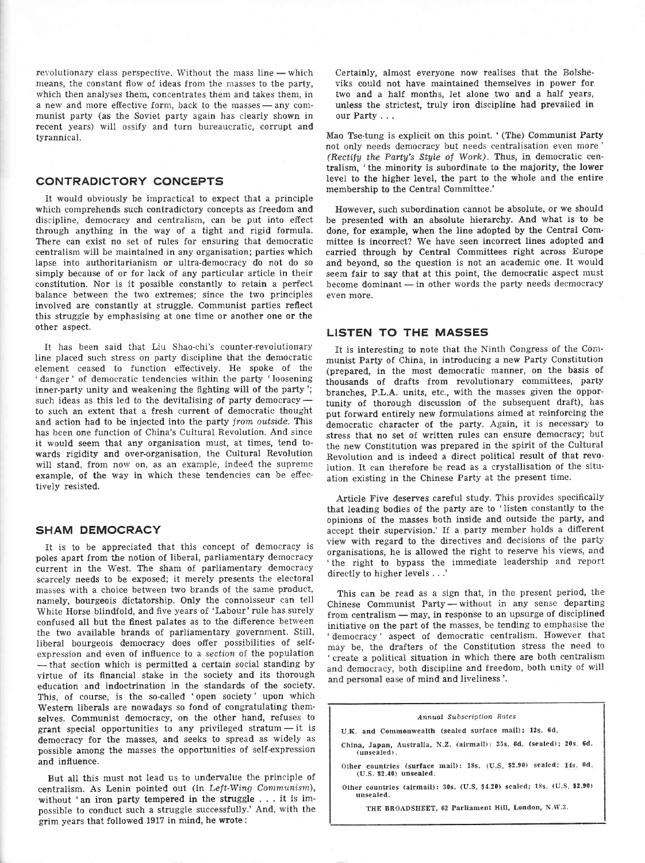revolutionary class perspective. Without the mass line — which revolutionary class perspective, without the mass line — which<br>means, the constant flow of ideas from the masses to the party, which then analyses them, concentrates them and takes them, in a new and more effective form, back to the masses — any coma new and more enective form, back to the masses — any com-<br>munist party (as the Soviet party again has clearly shown in recent years) will ossify and turn bureaucratic, corrupt and tyrannical.

# CONTRADICTORY CONCEPTS

It would obviously be impractical to expect that a principle which comprehends such contradictory concepts as freedom and discipline, democracy and centralism, can be put into effect through anything in the way of a tight and rigid formula. There can exist no set of rules for ensuring that democratic centralism will be maintained in any organisation; parties which Iapse into authoritarianism or ultra-democracy do not do so simply because of or for lack of any particular article in their constitution. Nor is it possible constantly to retain a perfect balance between the two extremes; since the two principles involved are constantly at struggle. Communist parties reflect this struggle by emphasising at one time or another one or the other aspect.

It has been said that Liu Shao-chi's counter-revolutionary line placed such stress on party discipline that the democratic element ceased to function effectively. He spoke of the ' danger' of democratic tendencies within the party 'loosening inner-party unity and weakening the fighting will of the party'; such ideas as this led to the devitalising of party democracy such ideas as this led to the devitalising of party democracy —<br>to such an extent that a fresh current of democratic thought and action had to be injected into the party from outside. This has been one function of China's Cultural Revolution. And since it would seem that any organisation must, at times, tend towards rigidity and over-organisation, the Cultural Revolution will stand, from now on, as an example, indeed the supreme example, of the way in which these tendencies can be effectively resisted.

## SHAM DEMOCRACY

It is to be appreciated that this concept of democracy is poles apart from the notion of liberal, parliamentary democracy current in the West. The sham of parliamentary democracy scarcely needs to be exposed; it merely presents the electoral masses with a choice between two brands of the same product, namely, bourgeois dictatorship. Only the connoisseur can tell White Horse blindfold, and five years of 'Labour' rule has surely confused all but the finest palates as to the difierence between the two available brands of parliamentary government. StiII, Iiberal bourgeois democracy does offer possibilities of self' expression and even of influence to a section of the population - virtue of its financial stake in the society and its thorough  $-$  that section which is permitted a certain social standing by education and indoctrination in the standards of the society. This, of course, is the so-called 'open society' upon which Western liberals are nowadays so fond of congratulating themselves. Communist democracy, on the other hand, refuses to grant special opportunities to any privileged stratum  $-$  it is democracy for the masses, and seeks to spread as widely as democracy for the masses, and seeks to spread as widely as possible among the masses the opportunities of self-expression and influence.

But all this must not lead us to undervalue the principle of centralism. As Lenin pointed out (in Left-Wing Communism), without 'an iron party tempered in the struggle . . . it is impossible to conduct such a struggle successfully.' And, with the grim years that followed 1917 in mind, he wrote:

Certainly, almost everyone now realises that the Bolsheviks could not have maintained themselves in power for two and a half months, Iet alone two and a half years, unless the strictest, truly iron discipline had prevailed in our Party...

Mao Tse-tung is explicit on this point. '(The) Communist Party not only needs democracy but needs centralisation even more' (Rectify the Party's Style of Work). Thus, in democratic centralism, 'the minority is subordinate to the majority, the lower level to the higher level, the part to the whole and the entire membership to the Central Committee.'

However, such subordination cannot be absolute, or we should be presented with an absolute hierarchy. And what is to be done, for example, when the line adopted by the Central Committee is incorrect? We have seen incorrect lines adopted and carried through by Central Committees right across Europe and beyond, so the question is not an aeademic one. It would seem fair to say that at this point, the democratic aspect must become dominant — in other words the party needs decmocracy<br>even more even more.

# LISTEN TO THE MASSES

It is interesting to note that the Ninth Congress of the Communist Party of China, in introducing a new Party Constitution (prepared, in the most democratic manner, on the basis of thousands of drafts from revolutionary committees, party branches, P.L.A. units, etc., with the masses given the opportunity of thorough discussion of the subsequent draft), has put forward entirely new formulations aimed at reinforcing the democratic character of the party. Again, it is necessary to stress that no set of written rules can ensure democracy; but the new Constitution was prepared in the spirit of the Cultural Revolution and is indeed a direct political result of that revolution. It can therefore be read as a crystallisation of the situation existing in the Chinese Party at the present time.

Article Five deserves careful study. This provides specifically that leading bodies of the party are to 'Iisten constantly to the opinions of the masses both inside and outside the party, and accept their supervision.' If a party member holds a different view with regard to the directives and decisions of the party organisations, he is allowed the right to reserve his views, and 'the right to bypass the immediate leadership and report directly to higher levels . . .'

This can be read as a sign that, in the present period, the Chinese Communist Party without in any sense departing Communist Farty — without in any sense departing<br>from centralism — may, in response to an upsurge of disciplined rrom centralism — may, in response to an upsurge of disciplined<br>initiative on the part of the masses, be tending to emphasise the ' democracy' aspect of democratic centralism. However that may be, the drafters of the Constitution stress the need to 'create a political situation in which there are both centralism and democracy, both discipline and freedom, both unity of will and personal ease of mind and liveliness '.

#### Annuol Subscrigtion Rates

U.K. and Commonwealth (sealed surface mail); 12s. 6d.

- china, Japan, Australia, N,z. (alrmall): 35s. 6d. (sealed); 20s. 6d. (unsealed),
- Other countries (surface mail): 18s. (U.S. \$2.90) sealed; 14s. 0d (u.s. S2.40) unsealed.

Other countries (airmail):30s. (U.S. \$420) sealed;18s. (U.S. \$2.90) unsealed.

THE BROADSHEET, 62 Parliament Hill, London, N.W.3.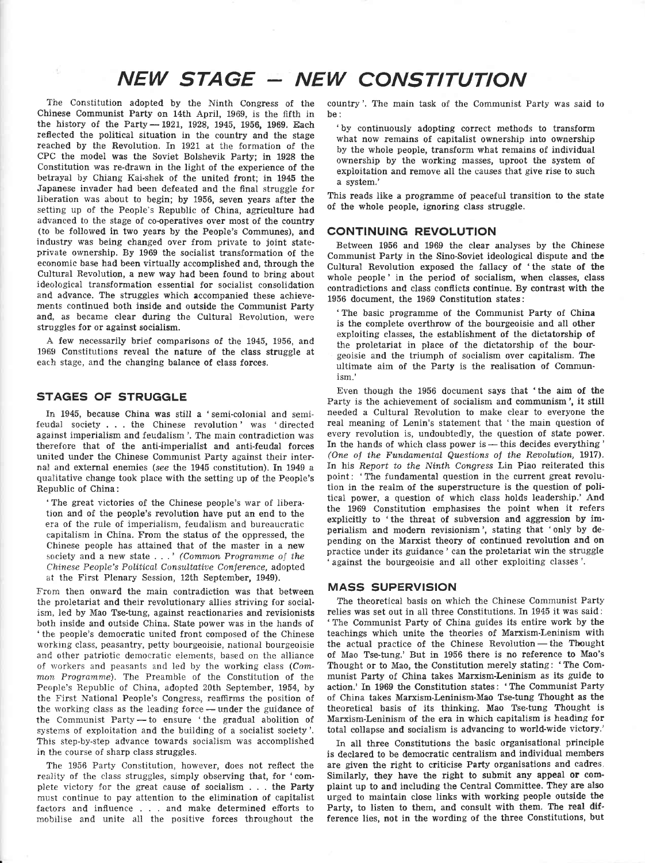# $NEW$  STAGE  $-$  NEW CONSTITUTION

The Constitution adopted by the Ninth Congress of the Chinese Communist Party on 14th April, 1969, is the fifth in the history of the Party $-1921$ , 1928, 1945, 1956, 1969. Each reflected the political situation in the country and the stage reached by the Revolution. In 1921 at ihe formation of the CPC the model was the Soviet Bolshevik Party; in 1928 the Constitution was re-drawn in the light of the experience of the betrayal by Chiang Kai-shek of the united front; in 1945 the Japanese invader had been defeated and the final struggle for liberation was about to begin; by 1956, seven years after the setting up of the People's Republic of China, agriculture had advanced to the stage of co-operatives over most of the country (to be followed in two years by the People's Communes), and industry was being changed over from private to joint stateprivate ownership. By 1969 the socialist transformation of the economic base had been virtually accomplished and, through the Cultural Revolution, a new way had been found to bring about ideological transformation essential for socialist consolidation and advance. The struggles which accompanied these achievements continued both inside and outside the Communist Party and, as became clear during the Cultural Revolution, were struggles for or against socialism.

-A few necessarily brief comparisons of the 1945, 1956, and 1969 Constitutions reveal the nature of the class struggle at each stage, and the changing balance of class forces.

# STAGES OF STRUGGLE

In 1945, because China was still a 'semi-colonial and semifeudal society . . . the Chinese revolution' was 'directed against imperialism and feudalism'. The main contradiction was therefore that of the anti-imperialist and anti-feudal forces united under the Chinese Communist Party against their internal and external enemies (see the 1945 constitution). In 1949 <sup>a</sup> qualitative change took place with the setting up of the People's Republic of China:

'The great victories of the Chinese people's war of liberation and of the people's revolution have put an end to the era of the rule of imperialism, feudalism and bureaucratic eapitalism in China. From the status of the oppressed, the Chinese people has attained that of the master in a new society and a new state  $\dots'$  (Common Programme of the Chinese People's Political Consultative Conference, adopted at the First Plenary Session, 12th September, 1949).

From then onward the main contradiction was that between the proletariat and their revolutionary allies striving for socialism, led by Mao Tse-tung, against reactionaries and revisionists both inside and outside China. State power was in the hands of 'the people's democratic united front composed of the Chinese working class, peasantry, petty bourgeoisie, national bourgeoisie and other patriotic democratic eiements, based on the alliance of workers and peasants and led by the working class (Common Programme). The Preamble of the Constitution of the Feople's Republic of China, adopted 20th September, 1954, by the First National People's Congress, reaffirms the position of the working class as the leading force — under the guidance of the working class as the leading force—under the guidance of<br>the Communist Party — to ensure 'the gradual abolition of me communist rarty – to ensure the gradual abolition of exploitation and the building of a socialist society'. This step-by-step advance towards socialism was accomplished in the course of sharp class struggles.

The 1956 Party Constitution, however, does not reflect the reality of the class struggles, simply observing that, for 'complete victory for the great cause of socialism . . . the Party must continue to pay attention to the elimination of capitalist factors and influence . . . and make determined efforts to mohilise and unite all the positive forces throughout the

country'. The main task of the Communist Party was said to be:

'by continuously adopting correct methods to transform what now remains of capitalist ownership into ownership by the whole people, transform what remains of individual ownership by the working masses, uproot the system of exploitation and remove all the causes that give rise to such a system.'

This reads like a programme of peaceful transition to the state of the whole people, ignoring class struggle.

## CONTINUING REVOLUTION

Between 1956 and 1969 the clear analyses by the Chinese Communist Party in the Sino-Soviet ideological dispute and thc Cultural Revolution exposed the fallacy of 'the state of the whole people' in the period of socialism, when classes, class contradictions and class conflicts continue. By contrast with the 1956 document, the 1969 Constitution states:

'The basic programme of the Communist Party of China is the complete overthrow of the bourgeoisie and all other exploiting classes, the establishment of the dictatorship of the proletariat in place of the dictatorship of the bourgeoisie and the triumph of socialism over capitalism. The ultimate aim of the Party is the realisation of Communism.'

Even though the 1956 document says that 'the aim of the Party is the achievement of socialism and communism', it still needed a Cultural Revolution to make clear to everyone the real meaning of Lenin's statement that 'the main question of every revolution is, undoubtedly, the question of state power. In the hands of which class power is  $+$  this decides everything ' In the fiands of which class power  $s = \text{ms}$  decides everything (One of the Fundamental Questions of the Revolution, 1917). In his Report to the Ninth Congress Lin Piao reiterated this point: 'The fundamental question in the current great revolution in the realm of the superstructure is the question of political power, a question of which class holds leadership.' And the 1969 Constitution emphasises the point when it refers explicitly to 'the threat of subversion and aggression by imperialism and modern revisionism', stating that 'only by depending on the Marxist theory of continued revolution and on practice under its guidance' can the proletariat win the struggle against the bourgeoisie and all other exploiting classes'.

## MASS SUPERVISION

The theoretical basis on which the Chinese Communist Party relies was set out in all three Constitutions. In 1945 it was said: 'The Communist Party of China guides its entire work by the teachings which unite the theories of Marxism-Leninism with the actual practice of the Chinese Revolution - the Thought Ine actual practice of the Unitiese Revolution—the Thought<br>of Mao Tse-tung.' But in 1956 there is no reference to Mao's Thought or to Mao, the Constitution merely stating: ' The Communist Party of China takes Marxism-Leninism as its guide to action.' In 1969 the Constitution states: 'The Communist Party of China takes Marxism-Leninism-Mao Tse-tung Thought as the theoretical basis of its thinking. Mao Tse-tung Thought is Marxism-Leninism of the era in which capitalism is heading for total collapse and socialism is advancing to world-wide victory.'

In all three Constitutions the basic organisational principle is declared to be democratic centralism and individual members are given the right to criticise Party organisations and cadres, Similarly, they have the right to submit any appeal or complaint up to and including the Central Committee. They are also urged to maintain close links with working people outside the Party, to listen to them, and consult with them. The real difference lies, not in the wording of the three Constitutions, but